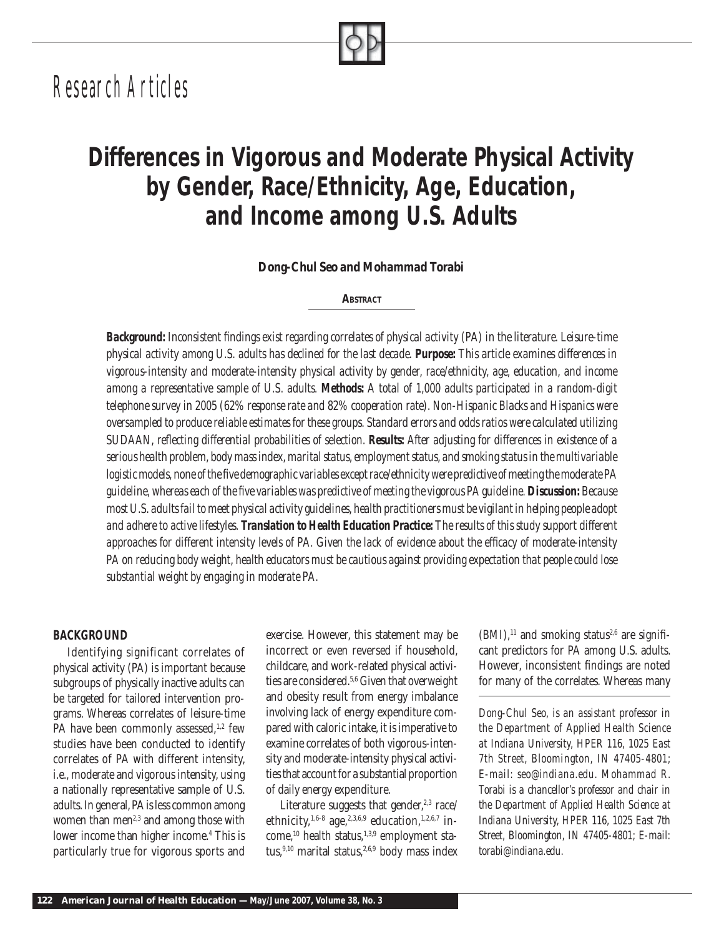# *Research Articles*

## *Differences in Vigorous and Moderate Physical Activity by Gender, Race/Ethnicity, Age, Education, and Income among U.S. Adults*

*Dong-Chul Seo and Mohammad Torabi*

*ABSTRACT*

Background: Inconsistent findings exist regarding correlates of physical activity (PA) in the literature. Leisure-time *physical activity among U.S. adults has declined for the last decade. Purpose: This article examines differences in vigorous-intensity and moderate-intensity physical activity by gender, race/ethnicity, age, education, and income among a representative sample of U.S. adults. Methods: A total of 1,000 adults participated in a random-digit telephone survey in 2005 (62% response rate and 82% cooperation rate). Non-Hispanic Blacks and Hispanics were oversampled to produce reliable estimates for these groups. Standard errors and odds ratios were calculated utilizing SUDAAN, refl ecting differential probabilities of selection. Results: After adjusting for differences in existence of a serious health problem, body mass index, marital status, employment status, and smoking status in the multivariable logistic models, none of the five demographic variables except race/ethnicity were predictive of meeting the moderate PA guideline, whereas each of the fi ve variables was predictive of meeting the vigorous PA guideline. Discussion: Because most U.S. adults fail to meet physical activity guidelines, health practitioners must be vigilant in helping people adopt and adhere to active lifestyles. Translation to Health Education Practice: The results of this study support different*  approaches for different intensity levels of PA. Given the lack of evidence about the efficacy of moderate-intensity *PA on reducing body weight, health educators must be cautious against providing expectation that people could lose substantial weight by engaging in moderate PA.* 

#### *BACKGROUND*

Identifying significant correlates of physical activity (PA) is important because subgroups of physically inactive adults can be targeted for tailored intervention programs. Whereas correlates of leisure-time PA have been commonly assessed, $1,2$  few studies have been conducted to identify correlates of PA with different intensity, i.e., moderate and vigorous intensity, using a nationally representative sample of U.S. adults. In general, PA is less common among women than men<sup>2,3</sup> and among those with lower income than higher income.4 This is particularly true for vigorous sports and

exercise. However, this statement may be incorrect or even reversed if household, childcare, and work-related physical activities are considered.5,6 Given that overweight and obesity result from energy imbalance involving lack of energy expenditure compared with caloric intake, it is imperative to examine correlates of both vigorous-intensity and moderate-intensity physical activities that account for a substantial proportion of daily energy expenditure.

Literature suggests that gender, $2,3$  race/ ethnicity,<sup>1,6-8</sup> age,<sup>2,3,6,9</sup> education,<sup>1,2,6,7</sup> income,<sup>10</sup> health status,<sup>1,3,9</sup> employment status,<sup>9,10</sup> marital status,<sup>2,6,9</sup> body mass index

 $(BMI)$ ,<sup>11</sup> and smoking status<sup>2,6</sup> are significant predictors for PA among U.S. adults. However, inconsistent findings are noted for many of the correlates. Whereas many

*Dong-Chul Seo, is an assistant professor in the Department of Applied Health Science at Indiana University, HPER 116, 1025 East 7th Street, Bloomington, IN 47405-4801; E-mail: seo@indiana.edu. Mohammad R. Torabi is a chancellor's professor and chair in the Department of Applied Health Science at Indiana University, HPER 116, 1025 East 7th Street, Bloomington, IN 47405-4801; E-mail: torabi@indiana.edu.*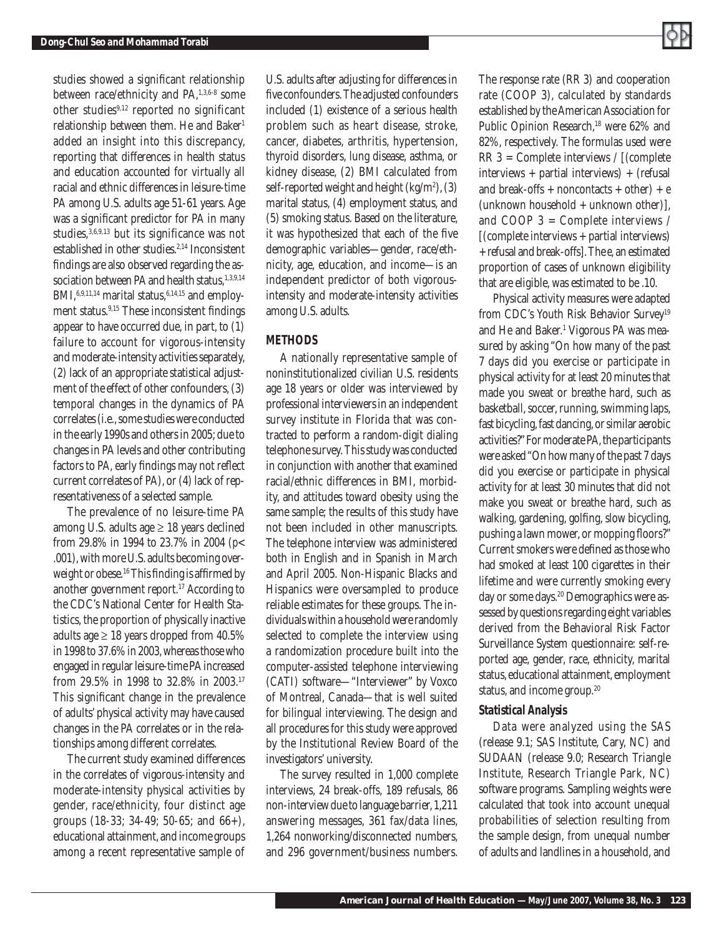studies showed a significant relationship between race/ethnicity and PA,<sup>1,3,6-8</sup> some other studies<sup>9,12</sup> reported no significant relationship between them. He and Baker<sup>1</sup> added an insight into this discrepancy, reporting that differences in health status and education accounted for virtually all racial and ethnic differences in leisure-time PA among U.S. adults age 51-61 years. Age was a significant predictor for PA in many studies,  $3,6,9,13$  but its significance was not established in other studies.<sup>2,14</sup> Inconsistent findings are also observed regarding the association between PA and health status, 1,3,9,14 BMI, $6,9,11,14$  marital status, $6,14,15$  and employment status.<sup>9,15</sup> These inconsistent findings appear to have occurred due, in part, to (1) failure to account for vigorous-intensity and moderate-intensity activities separately, (2) lack of an appropriate statistical adjustment of the effect of other confounders, (3) temporal changes in the dynamics of PA correlates (i.e., some studies were conducted in the early 1990s and others in 2005; due to changes in PA levels and other contributing factors to PA, early findings may not reflect current correlates of PA), or (4) lack of representativeness of a selected sample.

The prevalence of no leisure-time PA among U.S. adults age  $\geq$  18 years declined from 29.8% in 1994 to 23.7% in 2004 (*p*< .001), with more U.S. adults becoming overweight or obese.<sup>16</sup> This finding is affirmed by another government report.17 According to the CDC's National Center for Health Statistics, the proportion of physically inactive adults age  $\geq 18$  years dropped from 40.5% in 1998 to 37.6% in 2003, whereas those who engaged in regular leisure-time PA increased from 29.5% in 1998 to 32.8% in 2003.17 This significant change in the prevalence of adults' physical activity may have caused changes in the PA correlates or in the relationships among different correlates.

The current study examined differences in the correlates of vigorous-intensity and moderate-intensity physical activities by gender, race/ethnicity, four distinct age groups (18-33; 34-49; 50-65; and 66+), educational attainment, and income groups among a recent representative sample of U.S. adults after adjusting for differences in five confounders. The adjusted confounders included (1) existence of a serious health problem such as heart disease, stroke, cancer, diabetes, arthritis, hypertension, thyroid disorders, lung disease, asthma, or kidney disease, (2) BMI calculated from self-reported weight and height (kg/m2 ), (3) marital status, (4) employment status, and (5) smoking status. Based on the literature, it was hypothesized that each of the five demographic variables—gender, race/ethnicity, age, education, and income—is an independent predictor of both vigorousintensity and moderate-intensity activities among U.S. adults.

#### *METHODS*

A nationally representative sample of noninstitutionalized civilian U.S. residents age 18 years or older was interviewed by professional interviewers in an independent survey institute in Florida that was contracted to perform a random-digit dialing telephone survey. This study was conducted in conjunction with another that examined racial/ethnic differences in BMI, morbidity, and attitudes toward obesity using the same sample; the results of this study have not been included in other manuscripts. The telephone interview was administered both in English and in Spanish in March and April 2005. Non-Hispanic Blacks and Hispanics were oversampled to produce reliable estimates for these groups. The individuals within a household were randomly selected to complete the interview using a randomization procedure built into the computer-assisted telephone interviewing (CATI) software—"Interviewer" by Voxco of Montreal, Canada—that is well suited for bilingual interviewing. The design and all procedures for this study were approved by the Institutional Review Board of the investigators' university.

The survey resulted in 1,000 complete interviews, 24 break-offs, 189 refusals, 86 non-interview due to language barrier, 1,211 answering messages, 361 fax/data lines, 1,264 nonworking/disconnected numbers, and 296 government/business numbers.

The response rate (RR 3) and cooperation rate (COOP 3), calculated by standards established by the American Association for Public Opinion Research,<sup>18</sup> were 62% and 82%, respectively. The formulas used were RR 3 = Complete interviews / [(complete interviews + partial interviews) + (refusal and break-offs + noncontacts + other) + *e*  $(unknown household + unknown other)$ ]. and COOP 3 = Complete interviews / [(complete interviews + partial interviews) + refusal and break-offs]. The *e,* an estimated proportion of cases of unknown eligibility that are eligible, was estimated to be .10.

Physical activity measures were adapted from CDC's Youth Risk Behavior Survey<sup>19</sup> and He and Baker.1 Vigorous PA was measured by asking "On how many of the past 7 days did you exercise or participate in physical activity for at least 20 minutes that made you sweat or breathe hard, such as basketball, soccer, running, swimming laps, fast bicycling, fast dancing, or similar aerobic activities?" For moderate PA, the participants were asked "On how many of the past 7 days did you exercise or participate in physical activity for at least 30 minutes that did not make you sweat or breathe hard, such as walking, gardening, golfing, slow bicycling, pushing a lawn mower, or mopping floors?" Current smokers were defined as those who had smoked at least 100 cigarettes in their lifetime and were currently smoking every day or some days.<sup>20</sup> Demographics were assessed by questions regarding eight variables derived from the Behavioral Risk Factor Surveillance System questionnaire: self-reported age, gender, race, ethnicity, marital status, educational attainment, employment status, and income group.20

#### *Statistical Analysis*

Data were analyzed using the SAS (release 9.1; SAS Institute, Cary, NC) and SUDAAN (release 9.0; Research Triangle Institute, Research Triangle Park, NC) software programs. Sampling weights were calculated that took into account unequal probabilities of selection resulting from the sample design, from unequal number of adults and landlines in a household, and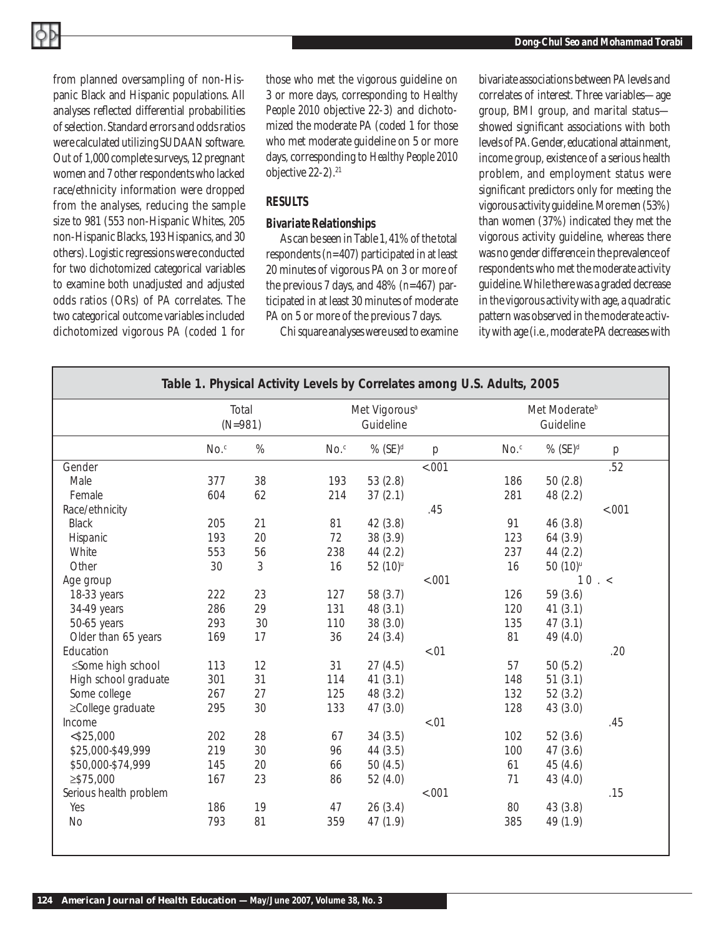from planned oversampling of non-Hispanic Black and Hispanic populations. All analyses reflected differential probabilities of selection. Standard errors and odds ratios were calculated utilizing SUDAAN software. Out of 1,000 complete surveys, 12 pregnant women and 7 other respondents who lacked race/ethnicity information were dropped from the analyses, reducing the sample size to 981 (553 non-Hispanic Whites, 205 non-Hispanic Blacks, 193 Hispanics, and 30 others). Logistic regressions were conducted for two dichotomized categorical variables to examine both unadjusted and adjusted odds ratios (ORs) of PA correlates. The two categorical outcome variables included dichotomized vigorous PA (coded 1 for those who met the vigorous guideline on 3 or more days, corresponding to *Healthy People 2010* objective 22-3) and dichotomized the moderate PA (coded 1 for those who met moderate guideline on 5 or more days, corresponding to *Healthy People 2010* objective 22-2).<sup>21</sup>

#### *RESULTS*

#### *Bivariate Relationships*

As can be seen in Table 1, 41% of the total respondents (*n=*407) participated in at least 20 minutes of vigorous PA on 3 or more of the previous 7 days, and 48% (*n*=467) participated in at least 30 minutes of moderate PA on 5 or more of the previous 7 days.

Chi square analyses were used to examine

bivariate associations between PA levels and correlates of interest. Three variables—age group, BMI group, and marital status showed significant associations with both levels of PA. Gender, educational attainment, income group, existence of a serious health problem, and employment status were significant predictors only for meeting the vigorous activity guideline. More men (53%) than women (37%) indicated they met the vigorous activity guideline, whereas there was no gender difference in the prevalence of respondents who met the moderate activity guideline. While there was a graded decrease in the vigorous activity with age, a quadratic pattern was observed in the moderate activity with age (i.e., moderate PA decreases with

| Table 1. Physical Activity Levels by Correlates among U.S. Adults, 2005 |                    |      |         |                                        |                     |                                        |                       |        |
|-------------------------------------------------------------------------|--------------------|------|---------|----------------------------------------|---------------------|----------------------------------------|-----------------------|--------|
|                                                                         | Total<br>$(N=981)$ |      |         | Met Vigorous <sup>a</sup><br>Guideline |                     | Met Moderate <sup>b</sup><br>Guideline |                       |        |
|                                                                         | $No.$ <sup>c</sup> | $\%$ | $No.^c$ | $%$ (SE) <sup>d</sup>                  | p                   | No.                                    | $%$ (SE) <sup>d</sup> | p      |
| Gender                                                                  |                    |      |         |                                        | $\frac{1}{6}$ <.001 |                                        |                       | .52    |
| Male                                                                    | 377                | 38   | 193     | 53(2.8)                                |                     | 186                                    | 50(2.8)               |        |
| Female                                                                  | 604                | 62   | 214     | 37(2.1)                                |                     | 281                                    | 48 (2.2)              |        |
| Race/ethnicity                                                          |                    |      |         |                                        | .45                 |                                        |                       | < .001 |
| <b>Black</b>                                                            | 205                | 21   | 81      | 42(3.8)                                |                     | 91                                     | 46(3.8)               |        |
| Hispanic                                                                | 193                | 20   | 72      | 38(3.9)                                |                     | 123                                    | 64 (3.9)              |        |
| White                                                                   | 553                | 56   | 238     | 44(2.2)                                |                     | 237                                    | 44(2.2)               |        |
| Other                                                                   | 30                 | 3    | 16      | 52 (10) <sup>u</sup>                   |                     | 16                                     | 50 (10) <sup>u</sup>  |        |
| Age group                                                               |                    |      |         |                                        | < .001              |                                        |                       | 10.5   |
| 18-33 years                                                             | 222                | 23   | 127     | 58 (3.7)                               |                     | 126                                    | 59 (3.6)              |        |
| 34-49 years                                                             | 286                | 29   | 131     | 48(3.1)                                |                     | 120                                    | 41(3.1)               |        |
| 50-65 years                                                             | 293                | 30   | 110     | 38(3.0)                                |                     | 135                                    | 47(3.1)               |        |
| Older than 65 years                                                     | 169                | 17   | 36      | 24(3.4)                                |                     | 81                                     | 49 (4.0)              |        |
| Education                                                               |                    |      |         |                                        | < .01               |                                        |                       | .20    |
| ≤Some high school                                                       | 113                | 12   | 31      | 27(4.5)                                |                     | 57                                     | 50(5.2)               |        |
| High school graduate                                                    | 301                | 31   | 114     | 41(3.1)                                |                     | 148                                    | 51(3.1)               |        |
| Some college                                                            | 267                | 27   | 125     | 48 (3.2)                               |                     | 132                                    | 52(3.2)               |        |
| ≥College graduate                                                       | 295                | 30   | 133     | 47(3.0)                                |                     | 128                                    | 43(3.0)               |        |
| Income                                                                  |                    |      |         |                                        | < .01               |                                        |                       | .45    |
| $<$ \$25,000                                                            | 202                | 28   | 67      | 34(3.5)                                |                     | 102                                    | 52(3.6)               |        |
| \$25,000-\$49,999                                                       | 219                | 30   | 96      | 44(3.5)                                |                     | 100                                    | 47(3.6)               |        |
| \$50,000-\$74,999                                                       | 145                | 20   | 66      | 50(4.5)                                |                     | 61                                     | 45(4.6)               |        |
| $\geq$ \$75,000                                                         | 167                | 23   | 86      | 52(4.0)                                |                     | 71                                     | 43 (4.0)              |        |
| Serious health problem                                                  |                    |      |         |                                        | $-.001$             |                                        |                       | .15    |
| Yes                                                                     | 186                | 19   | 47      | 26(3.4)                                |                     | 80                                     | 43(3.8)               |        |
| <b>No</b>                                                               | 793                | 81   | 359     | 47 (1.9)                               |                     | 385                                    | 49 (1.9)              |        |
|                                                                         |                    |      |         |                                        |                     |                                        |                       |        |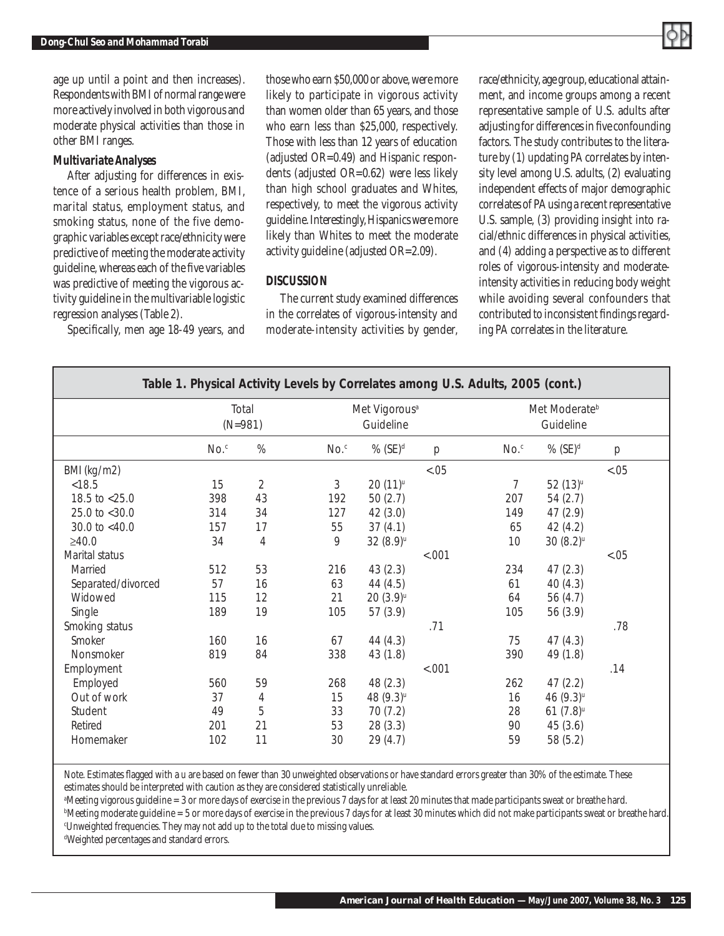

age up until a point and then increases). Respondents with BMI of normal range were more actively involved in both vigorous and moderate physical activities than those in other BMI ranges.

#### *Multivariate Analyses*

After adjusting for differences in existence of a serious health problem, BMI, marital status, employment status, and smoking status, none of the five demographic variables except race/ethnicity were predictive of meeting the moderate activity guideline, whereas each of the five variables was predictive of meeting the vigorous activity guideline in the multivariable logistic regression analyses (Table 2).

Specifically, men age 18-49 years, and

those who earn \$50,000 or above, were more likely to participate in vigorous activity than women older than 65 years, and those who earn less than \$25,000, respectively. Those with less than 12 years of education (adjusted OR=0.49) and Hispanic respondents (adjusted OR=0.62) were less likely than high school graduates and Whites, respectively, to meet the vigorous activity guideline. Interestingly, Hispanics were more likely than Whites to meet the moderate activity guideline (adjusted OR=2.09).

#### *DISCUSSION*

The current study examined differences in the correlates of vigorous-intensity and moderate-intensity activities by gender, race/ethnicity, age group, educational attainment, and income groups among a recent representative sample of U.S. adults after adjusting for differences in five confounding factors. The study contributes to the literature by (1) updating PA correlates by intensity level among U.S. adults, (2) evaluating independent effects of major demographic correlates of PA using a recent representative U.S. sample, (3) providing insight into racial/ethnic differences in physical activities, and (4) adding a perspective as to different roles of vigorous-intensity and moderateintensity activities in reducing body weight while avoiding several confounders that contributed to inconsistent findings regarding PA correlates in the literature.

| Table 1. Physical Activity Levels by Correlates among U.S. Adults, 2005 (cont.) |                    |                |                    |                                        |        |                    |                                        |        |  |
|---------------------------------------------------------------------------------|--------------------|----------------|--------------------|----------------------------------------|--------|--------------------|----------------------------------------|--------|--|
|                                                                                 | Total<br>$(N=981)$ |                |                    | Met Vigorous <sup>a</sup><br>Guideline |        |                    | Met Moderate <sup>b</sup><br>Guideline |        |  |
|                                                                                 | $No.$ <sup>c</sup> | $\%$           | $No.$ <sup>c</sup> | $%$ (SE) <sup>d</sup>                  | p      | $No.$ <sup>c</sup> | % $(SE)^d$                             | р      |  |
| BMI (kg/m2)                                                                     |                    |                |                    |                                        | < .05  |                    |                                        | $-.05$ |  |
| < 18.5                                                                          | 15                 | $\overline{2}$ | 3                  | $20(11)^{u}$                           |        | $\overline{7}$     | $52(13)^{u}$                           |        |  |
| 18.5 to <25.0                                                                   | 398                | 43             | 192                | 50 $(2.7)$                             |        | 207                | 54(2.7)                                |        |  |
| 25.0 to <30.0                                                                   | 314                | 34             | 127                | 42(3.0)                                |        | 149                | 47(2.9)                                |        |  |
| 30.0 to $<$ 40.0                                                                | 157                | 17             | 55                 | 37(4.1)                                |        | 65                 | 42(4.2)                                |        |  |
| ≥40.0                                                                           | 34                 | $\sqrt{4}$     | 9                  | $32(8.9)$ u                            |        | 10                 | $30(8.2)$ <sup>u</sup>                 |        |  |
| Marital status                                                                  |                    |                |                    |                                        | < .001 |                    |                                        | < .05  |  |
| Married                                                                         | 512                | 53             | 216                | 43(2.3)                                |        | 234                | 47(2.3)                                |        |  |
| Separated/divorced                                                              | 57                 | 16             | 63                 | 44(4.5)                                |        | 61                 | 40(4.3)                                |        |  |
| Widowed                                                                         | 115                | 12             | 21                 | $20(3.9)$ u                            |        | 64                 | 56 $(4.7)$                             |        |  |
| Single                                                                          | 189                | 19             | 105                | 57(3.9)                                |        | 105                | 56 (3.9)                               |        |  |
| Smoking status                                                                  |                    |                |                    |                                        | .71    |                    |                                        | .78    |  |
| Smoker                                                                          | 160                | 16             | 67                 | 44(4.3)                                |        | 75                 | 47(4.3)                                |        |  |
| Nonsmoker                                                                       | 819                | 84             | 338                | 43 (1.8)                               |        | 390                | 49 (1.8)                               |        |  |
| Employment                                                                      |                    |                |                    |                                        | < .001 |                    |                                        | .14    |  |
| Employed                                                                        | 560                | 59             | 268                | 48(2.3)                                |        | 262                | 47(2.2)                                |        |  |
| Out of work                                                                     | 37                 | 4              | 15                 | 48 (9.3) <sup>u</sup>                  |        | 16                 | 46 (9.3) <sup>u</sup>                  |        |  |
| Student                                                                         | 49                 | 5              | 33                 | 70(7.2)                                |        | 28                 | $61 (7.8)$ <sup>u</sup>                |        |  |
| Retired                                                                         | 201                | 21             | 53                 | 28(3.3)                                |        | 90                 | 45(3.6)                                |        |  |
| Homemaker                                                                       | 102                | 11             | 30                 | 29(4.7)                                |        | 59                 | 58 (5.2)                               |        |  |

Note. Estimates flagged with a *u* are based on fewer than 30 unweighted observations or have standard errors greater than 30% of the estimate. These estimates should be interpreted with caution as they are considered statistically unreliable.

a Meeting vigorous guideline = 3 or more days of exercise in the previous 7 days for at least 20 minutes that made participants sweat or breathe hard. b Meeting moderate guideline = 5 or more days of exercise in the previous 7 days for at least 30 minutes which did not make participants sweat or breathe hard.

c Unweighted frequencies. They may not add up to the total due to missing values.

d Weighted percentages and standard errors.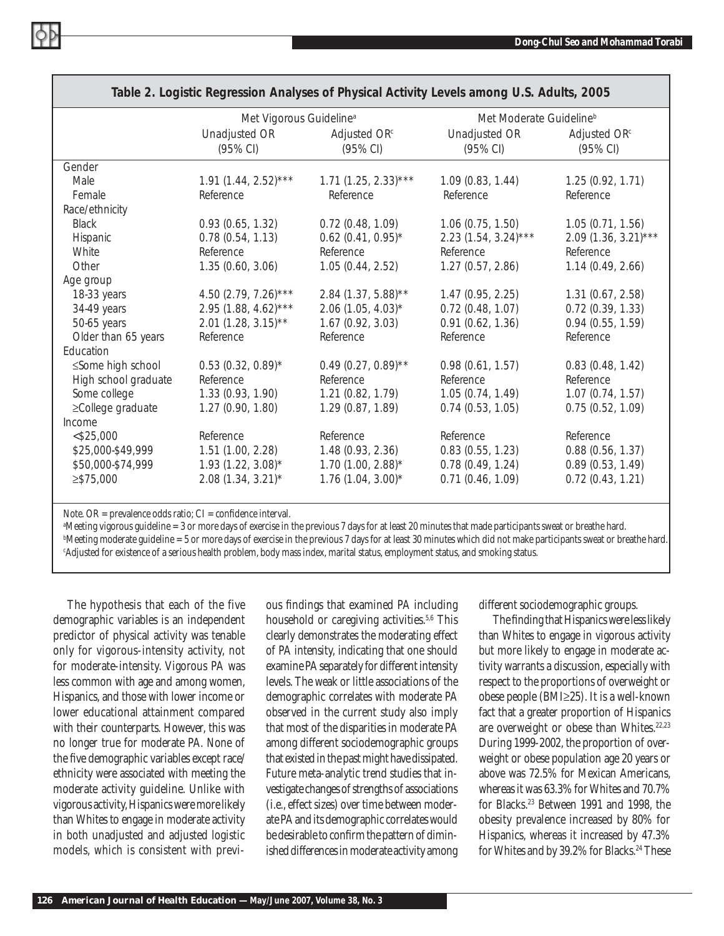| $1000$ $\epsilon$ . Lugistic hogicssion Andrysos of Friyalda Adtivity Lovels among O.S. Addits, 2000 |                                     |                                  |                                     |                          |  |  |  |  |
|------------------------------------------------------------------------------------------------------|-------------------------------------|----------------------------------|-------------------------------------|--------------------------|--|--|--|--|
|                                                                                                      | Met Vigorous Guideline <sup>a</sup> |                                  | Met Moderate Guideline <sup>b</sup> |                          |  |  |  |  |
|                                                                                                      | Unadjusted OR                       | Adjusted OR <sup>c</sup>         | Unadjusted OR                       | Adjusted OR <sup>c</sup> |  |  |  |  |
|                                                                                                      | (95% CI)                            | (95% CI)                         | (95% CI)                            | (95% CI)                 |  |  |  |  |
| Gender                                                                                               |                                     |                                  |                                     |                          |  |  |  |  |
| Male                                                                                                 | $1.91(1.44, 2.52)$ ***              | $1.71(1.25, 2.33)***$            | 1.09(0.83, 1.44)                    | 1.25(0.92, 1.71)         |  |  |  |  |
| Female                                                                                               | Reference                           | Reference                        | Reference                           | Reference                |  |  |  |  |
| Race/ethnicity                                                                                       |                                     |                                  |                                     |                          |  |  |  |  |
| <b>Black</b>                                                                                         | 0.93(0.65, 1.32)                    | 0.72(0.48, 1.09)                 | 1.06(0.75, 1.50)                    | 1.05(0.71, 1.56)         |  |  |  |  |
| Hispanic                                                                                             | 0.78(0.54, 1.13)                    | $0.62$ (0.41, 0.95)*             | $2.23(1.54, 3.24)$ ***              | $2.09$ (1.36, 3.21)***   |  |  |  |  |
| White                                                                                                | Reference                           | Reference                        | Reference                           | Reference                |  |  |  |  |
| Other                                                                                                | 1.35(0.60, 3.06)                    | 1.05(0.44, 2.52)                 | 1.27(0.57, 2.86)                    | 1.14(0.49, 2.66)         |  |  |  |  |
| Age group                                                                                            |                                     |                                  |                                     |                          |  |  |  |  |
| 18-33 years                                                                                          | 4.50 $(2.79, 7.26)$ ***             | $2.84$ (1.37, 5.88)**            | 1.47(0.95, 2.25)                    | 1.31(0.67, 2.58)         |  |  |  |  |
| 34-49 years                                                                                          | $2.95(1.88, 4.62)$ ***              | $2.06$ (1.05, 4.03) <sup>*</sup> | 0.72(0.48, 1.07)                    | 0.72(0.39, 1.33)         |  |  |  |  |
| 50-65 years                                                                                          | $2.01(1.28, 3.15)$ **               | 1.67(0.92, 3.03)                 | 0.91(0.62, 1.36)                    | 0.94(0.55, 1.59)         |  |  |  |  |
| Older than 65 years                                                                                  | Reference                           | Reference                        | Reference                           | Reference                |  |  |  |  |
| Education                                                                                            |                                     |                                  |                                     |                          |  |  |  |  |
| ≤Some high school                                                                                    | $0.53$ (0.32, 0.89)*                | $0.49(0.27, 0.89)$ **            | 0.98(0.61, 1.57)                    | 0.83(0.48, 1.42)         |  |  |  |  |
| High school graduate                                                                                 | Reference                           | Reference                        | Reference                           | Reference                |  |  |  |  |
| Some college                                                                                         | 1.33(0.93, 1.90)                    | 1.21(0.82, 1.79)                 | 1.05(0.74, 1.49)                    | 1.07(0.74, 1.57)         |  |  |  |  |
| ≥College graduate                                                                                    | 1.27(0.90, 1.80)                    | 1.29(0.87, 1.89)                 | 0.74(0.53, 1.05)                    | 0.75(0.52, 1.09)         |  |  |  |  |
| Income                                                                                               |                                     |                                  |                                     |                          |  |  |  |  |
| $<$ \$25,000                                                                                         | Reference                           | Reference                        | Reference                           | Reference                |  |  |  |  |
| \$25,000-\$49,999                                                                                    | 1.51(1.00, 2.28)                    | 1.48(0.93, 2.36)                 | 0.83(0.55, 1.23)                    | 0.88(0.56, 1.37)         |  |  |  |  |
| \$50,000-\$74,999                                                                                    | $1.93(1.22, 3.08)$ *                | $1.70(1.00, 2.88)$ *             | 0.78(0.49, 1.24)                    | 0.89(0.53, 1.49)         |  |  |  |  |
| $\geq$ \$75,000                                                                                      | $2.08(1.34, 3.21)^{*}$              | $1.76(1.04, 3.00)*$              | 0.71(0.46, 1.09)                    | 0.72(0.43, 1.21)         |  |  |  |  |
|                                                                                                      |                                     |                                  |                                     |                          |  |  |  |  |

### *Table 2. Logistic Regression Analyses of Physical Activity Levels among U.S. Adults, 2005*

Note. O $R$  = prevalence odds ratio;  $CI$  = confidence interval.

Meeting vigorous guideline = 3 or more days of exercise in the previous 7 days for at least 20 minutes that made participants sweat or breathe hard. b Meeting moderate guideline = 5 or more days of exercise in the previous 7 days for at least 30 minutes which did not make participants sweat or breathe hard. c Adjusted for existence of a serious health problem, body mass index, marital status, employment status, and smoking status.

The hypothesis that each of the five demographic variables is an independent predictor of physical activity was tenable only for vigorous-intensity activity, not for moderate-intensity. Vigorous PA was less common with age and among women, Hispanics, and those with lower income or lower educational attainment compared with their counterparts. However, this was no longer true for moderate PA. None of the five demographic variables except race/ ethnicity were associated with meeting the moderate activity guideline. Unlike with vigorous activity, Hispanics were more likely than Whites to engage in moderate activity in both unadjusted and adjusted logistic models, which is consistent with previous findings that examined PA including household or caregiving activities.<sup>5,6</sup> This clearly demonstrates the moderating effect of PA intensity, indicating that one should examine PA separately for different intensity levels. The weak or little associations of the demographic correlates with moderate PA observed in the current study also imply that most of the disparities in moderate PA among different sociodemographic groups that existed in the past might have dissipated. Future meta-analytic trend studies that investigate changes of strengths of associations (i.e., effect sizes) over time between moderate PA and its demographic correlates would be desirable to confirm the pattern of diminished differences in moderate activity among

different sociodemographic groups.

The finding that Hispanics were less likely than Whites to engage in vigorous activity but more likely to engage in moderate activity warrants a discussion, especially with respect to the proportions of overweight or obese people (BMI≥25). It is a well-known fact that a greater proportion of Hispanics are overweight or obese than Whites.<sup>22,23</sup> During 1999-2002, the proportion of overweight or obese population age 20 years or above was 72.5% for Mexican Americans, whereas it was 63.3% for Whites and 70.7% for Blacks.23 Between 1991 and 1998, the obesity prevalence increased by 80% for Hispanics, whereas it increased by 47.3% for Whites and by 39.2% for Blacks.<sup>24</sup> These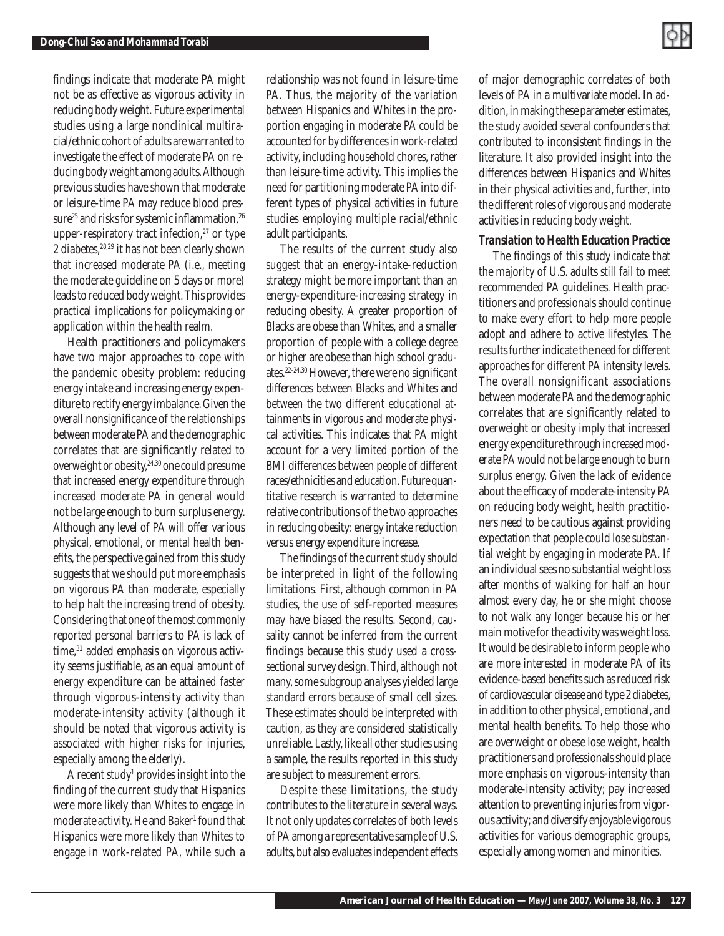

findings indicate that moderate PA might not be as effective as vigorous activity in reducing body weight. Future experimental studies using a large nonclinical multiracial/ethnic cohort of adults are warranted to investigate the effect of moderate PA on reducing body weight among adults. Although previous studies have shown that moderate or leisure-time PA may reduce blood pressure<sup>25</sup> and risks for systemic inflammation,<sup>26</sup> upper-respiratory tract infection, $27$  or type 2 diabetes,<sup>28,29</sup> it has not been clearly shown that increased moderate PA (i.e., meeting the moderate guideline on 5 days or more) leads to reduced body weight. This provides practical implications for policymaking or application within the health realm.

Health practitioners and policymakers have two major approaches to cope with the pandemic obesity problem: reducing energy intake and increasing energy expenditure to rectify energy imbalance. Given the overall nonsignificance of the relationships between moderate PA and the demographic correlates that are significantly related to overweight or obesity,<sup>24,30</sup> one could presume that increased energy expenditure through increased moderate PA in general would not be large enough to burn surplus energy. Although any level of PA will offer various physical, emotional, or mental health benefits, the perspective gained from this study suggests that we should put more emphasis on vigorous PA than moderate, especially to help halt the increasing trend of obesity. Considering that one of the most commonly reported personal barriers to PA is lack of time,<sup>31</sup> added emphasis on vigorous activity seems justifiable, as an equal amount of energy expenditure can be attained faster through vigorous-intensity activity than moderate-intensity activity (although it should be noted that vigorous activity is associated with higher risks for injuries, especially among the elderly).

A recent study<sup>1</sup> provides insight into the finding of the current study that Hispanics were more likely than Whites to engage in moderate activity. He and Baker<sup>1</sup> found that Hispanics were more likely than Whites to engage in work-related PA, while such a

relationship was not found in leisure-time PA. Thus, the majority of the variation between Hispanics and Whites in the proportion engaging in moderate PA could be accounted for by differences in work-related activity, including household chores, rather than leisure-time activity. This implies the need for partitioning moderate PA into different types of physical activities in future studies employing multiple racial/ethnic adult participants.

The results of the current study also suggest that an energy-intake-reduction strategy might be more important than an energy-expenditure-increasing strategy in reducing obesity. A greater proportion of Blacks are obese than Whites, and a smaller proportion of people with a college degree or higher are obese than high school graduates. $22-24,30$  However, there were no significant differences between Blacks and Whites and between the two different educational attainments in vigorous and moderate physical activities. This indicates that PA might account for a very limited portion of the BMI differences between people of different races/ethnicities and education. Future quantitative research is warranted to determine relative contributions of the two approaches in reducing obesity: energy intake reduction versus energy expenditure increase.

The findings of the current study should be interpreted in light of the following limitations. First, although common in PA studies, the use of self-reported measures may have biased the results. Second, causality cannot be inferred from the current findings because this study used a crosssectional survey design. Third, although not many, some subgroup analyses yielded large standard errors because of small cell sizes. These estimates should be interpreted with caution, as they are considered statistically unreliable. Lastly, like all other studies using a sample, the results reported in this study are subject to measurement errors.

Despite these limitations, the study contributes to the literature in several ways. It not only updates correlates of both levels of PA among a representative sample of U.S. adults, but also evaluates independent effects of major demographic correlates of both levels of PA in a multivariate model. In addition, in making these parameter estimates, the study avoided several confounders that contributed to inconsistent findings in the literature. It also provided insight into the differences between Hispanics and Whites in their physical activities and, further, into the different roles of vigorous and moderate activities in reducing body weight.

#### *Translation to Health Education Practice*

The findings of this study indicate that the majority of U.S. adults still fail to meet recommended PA guidelines. Health practitioners and professionals should continue to make every effort to help more people adopt and adhere to active lifestyles. The results further indicate the need for different approaches for different PA intensity levels. The overall nonsignificant associations between moderate PA and the demographic correlates that are significantly related to overweight or obesity imply that increased energy expenditure through increased moderate PA would not be large enough to burn surplus energy. Given the lack of evidence about the efficacy of moderate-intensity PA on reducing body weight, health practitioners need to be cautious against providing expectation that people could lose substantial weight by engaging in moderate PA. If an individual sees no substantial weight loss after months of walking for half an hour almost every day, he or she might choose to not walk any longer because his or her main motive for the activity was weight loss. It would be desirable to inform people who are more interested in moderate PA of its evidence-based benefits such as reduced risk of cardiovascular disease and type 2 diabetes, in addition to other physical, emotional, and mental health benefits. To help those who are overweight or obese lose weight, health practitioners and professionals should place more emphasis on vigorous-intensity than moderate-intensity activity; pay increased attention to preventing injuries from vigorous activity; and diversify enjoyable vigorous activities for various demographic groups, especially among women and minorities.